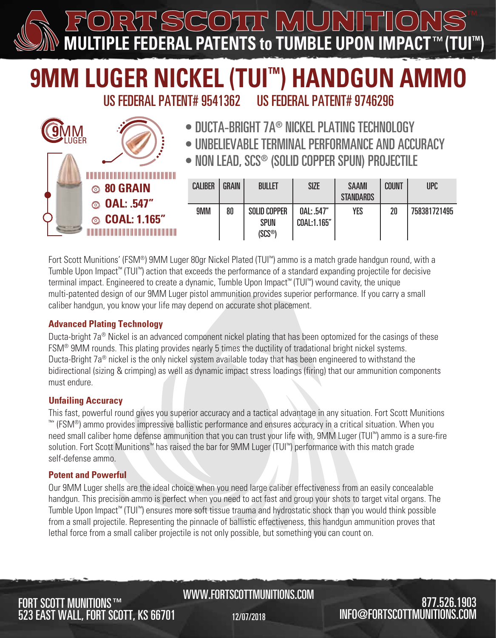**MULTIPLE FEDERAL PATENTS to TUMBLE UPON IMPACT**  $\precsim$ (O)

# **9MM LUGER NICKEL (TUI™) HANDGUN AMMO** US FEDERAL PATENT# 9541362 US FEDERAL PATENT# 9746296

- DUCTA-BRIGHT 7A® NICKEL PLATING TECHNOLOGY
- UNBELIEVABLE TERMINAL PERFORMANCE AND ACCURACY
- NON LEAD, SCS® (SOLID COPPER SPUN) PROJECTILE

|  | ◎ 80 GRAIN                | <b>CALIBER</b> | <b>GRAIN</b> | <b>BULLET</b>               | <b>SIZE</b>               | <b>SAAMI</b>     | <b>COUNT</b> | <b>UPC</b>   |
|--|---------------------------|----------------|--------------|-----------------------------|---------------------------|------------------|--------------|--------------|
|  | $\circledcirc$ OAL: .547" |                |              |                             |                           | <b>STANDARDS</b> |              |              |
|  | © COAL: 1.165"            | 9MM            | 80           | <b>SOLID COPPER</b><br>SPUN | 0AL: .547"<br>COAL:1.165" | YES              | 20           | 758381721495 |
|  |                           |                |              | (SCS <sup>®</sup> )         |                           |                  |              |              |

Fort Scott Munitions' (FSM®) 9MM Luger 80gr Nickel Plated (TUI™) ammo is a match grade handgun round, with a Tumble Upon Impact™ (TUI™) action that exceeds the performance of a standard expanding projectile for decisive terminal impact. Engineered to create a dynamic, Tumble Upon Impact™ (TUI™) wound cavity, the unique multi-patented design of our 9MM Luger pistol ammunition provides superior performance. If you carry a small caliber handgun, you know your life may depend on accurate shot placement.

#### **Advanced Plating Technology**

Ducta-bright 7a<sup>®</sup> Nickel is an advanced component nickel plating that has been optomized for the casings of these FSM® 9MM rounds. This plating provides nearly 5 times the ductility of tradational bright nickel systems. Ducta-Bright 7a<sup>®</sup> nickel is the only nickel system available today that has been engineered to withstand the bidirectional (sizing & crimping) as well as dynamic impact stress loadings (firing) that our ammunition components must endure.

#### **Unfailing Accuracy**

**9**MM

LUGER

This fast, powerful round gives you superior accuracy and a tactical advantage in any situation. Fort Scott Munitions ™' (FSM®) ammo provides impressive ballistic performance and ensures accuracy in a critical situation. When you need small caliber home defense ammunition that you can trust your life with, 9MM Luger (TUI™) ammo is a sure-fire solution. Fort Scott Munitions™ has raised the bar for 9MM Luger (TUI™) performance with this match grade self-defense ammo.

### **Potent and Powerful**

Our 9MM Luger shells are the ideal choice when you need large caliber effectiveness from an easily concealable handgun. This precision ammo is perfect when you need to act fast and group your shots to target vital organs. The Tumble Upon Impact™ (TUI™) ensures more soft tissue trauma and hydrostatic shock than you would think possible from a small projectile. Representing the pinnacle of ballistic effectiveness, this handgun ammunition proves that lethal force from a small caliber projectile is not only possible, but something you can count on.

## 523 EAST WALL, FORT SCOTT, KS 66701 **FORT SCOTT MUNITIONS™**

## WWW.FORTSCOTTMUNITIONS.COM

12/07/2018